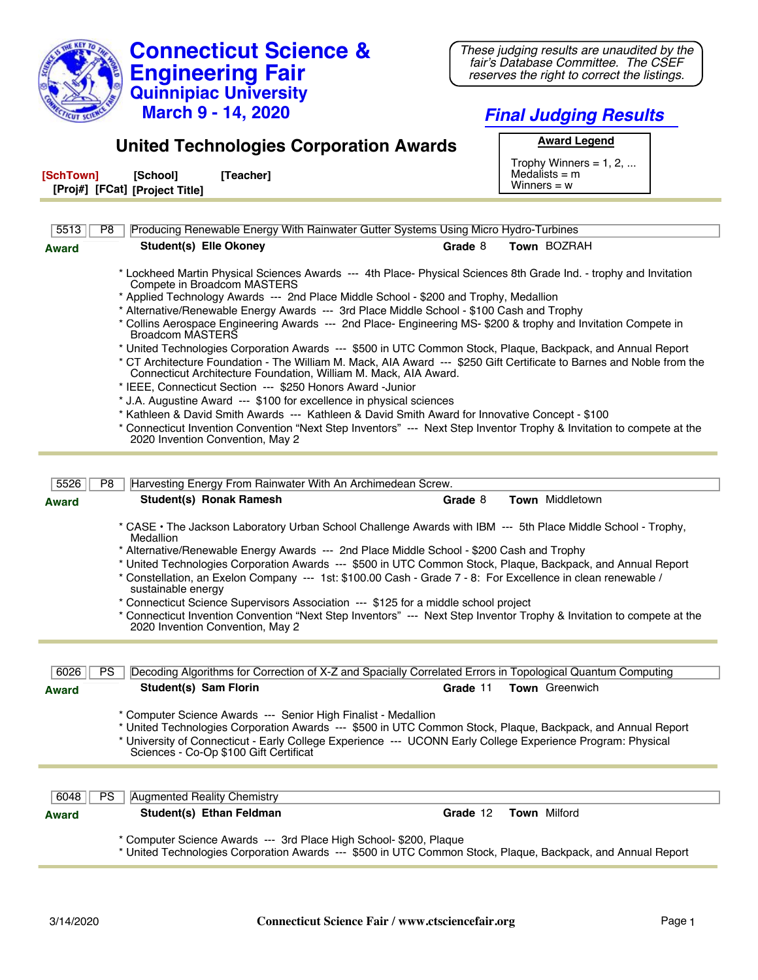